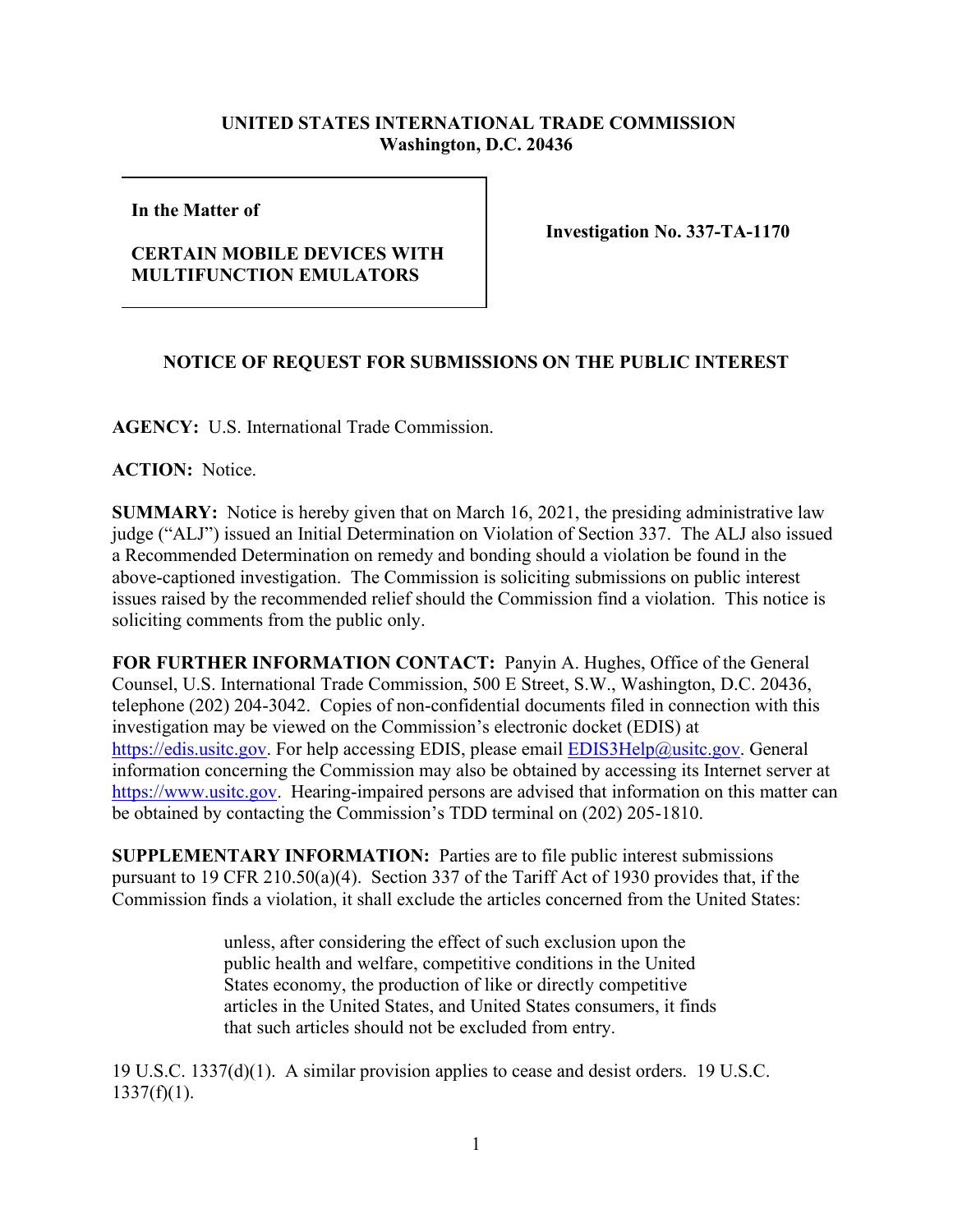## **UNITED STATES INTERNATIONAL TRADE COMMISSION Washington, D.C. 20436**

**In the Matter of** 

## **CERTAIN MOBILE DEVICES WITH MULTIFUNCTION EMULATORS**

**Investigation No. 337-TA-1170**

## **NOTICE OF REQUEST FOR SUBMISSIONS ON THE PUBLIC INTEREST**

**AGENCY:** U.S. International Trade Commission.

**ACTION:** Notice.

**SUMMARY:** Notice is hereby given that on March 16, 2021, the presiding administrative law judge ("ALJ") issued an Initial Determination on Violation of Section 337. The ALJ also issued a Recommended Determination on remedy and bonding should a violation be found in the above-captioned investigation. The Commission is soliciting submissions on public interest issues raised by the recommended relief should the Commission find a violation. This notice is soliciting comments from the public only.

**FOR FURTHER INFORMATION CONTACT:** Panyin A. Hughes, Office of the General Counsel, U.S. International Trade Commission, 500 E Street, S.W., Washington, D.C. 20436, telephone (202) 204-3042. Copies of non-confidential documents filed in connection with this investigation may be viewed on the Commission's electronic docket (EDIS) at [https://edis.usitc.gov.](https://edis.usitc.gov/) For help accessing EDIS, please email **EDIS3Help@usitc.gov**. General information concerning the Commission may also be obtained by accessing its Internet server at [https://www.usitc.gov.](https://www.usitc.gov/) Hearing-impaired persons are advised that information on this matter can be obtained by contacting the Commission's TDD terminal on (202) 205-1810.

**SUPPLEMENTARY INFORMATION:** Parties are to file public interest submissions pursuant to 19 CFR 210.50(a)(4). Section 337 of the Tariff Act of 1930 provides that, if the Commission finds a violation, it shall exclude the articles concerned from the United States:

> unless, after considering the effect of such exclusion upon the public health and welfare, competitive conditions in the United States economy, the production of like or directly competitive articles in the United States, and United States consumers, it finds that such articles should not be excluded from entry.

19 U.S.C. 1337(d)(1). A similar provision applies to cease and desist orders. 19 U.S.C.  $1337(f)(1)$ .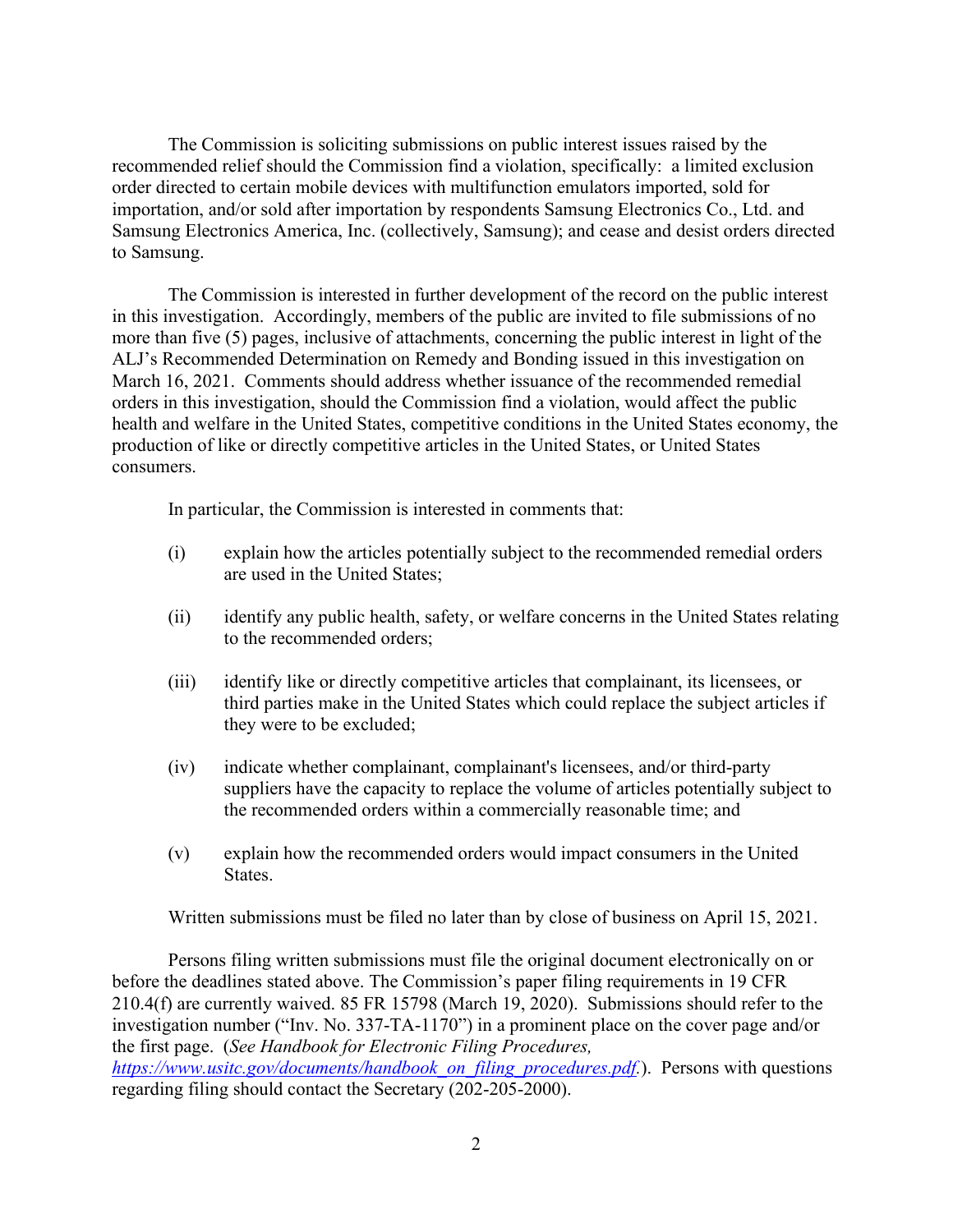The Commission is soliciting submissions on public interest issues raised by the recommended relief should the Commission find a violation, specifically: a limited exclusion order directed to certain mobile devices with multifunction emulators imported, sold for importation, and/or sold after importation by respondents Samsung Electronics Co., Ltd. and Samsung Electronics America, Inc. (collectively, Samsung); and cease and desist orders directed to Samsung.

The Commission is interested in further development of the record on the public interest in this investigation. Accordingly, members of the public are invited to file submissions of no more than five (5) pages, inclusive of attachments, concerning the public interest in light of the ALJ's Recommended Determination on Remedy and Bonding issued in this investigation on March 16, 2021.Comments should address whether issuance of the recommended remedial orders in this investigation, should the Commission find a violation, would affect the public health and welfare in the United States, competitive conditions in the United States economy, the production of like or directly competitive articles in the United States, or United States consumers.

In particular, the Commission is interested in comments that:

- (i) explain how the articles potentially subject to the recommended remedial orders are used in the United States;
- (ii) identify any public health, safety, or welfare concerns in the United States relating to the recommended orders;
- (iii) identify like or directly competitive articles that complainant, its licensees, or third parties make in the United States which could replace the subject articles if they were to be excluded;
- (iv) indicate whether complainant, complainant's licensees, and/or third-party suppliers have the capacity to replace the volume of articles potentially subject to the recommended orders within a commercially reasonable time; and
- (v) explain how the recommended orders would impact consumers in the United States.

Written submissions must be filed no later than by close of business on April 15, 2021.

Persons filing written submissions must file the original document electronically on or before the deadlines stated above. The Commission's paper filing requirements in 19 CFR 210.4(f) are currently waived. 85 FR 15798 (March 19, 2020). Submissions should refer to the investigation number ("Inv. No. 337-TA-1170") in a prominent place on the cover page and/or the first page. (*See Handbook for Electronic Filing Procedures,* 

*[https://www.usitc.gov/documents/handbook\\_on\\_filing\\_procedures.pdf.](https://www.usitc.gov/documents/handbook_on_filing_procedures.pdf)*). Persons with questions regarding filing should contact the Secretary (202-205-2000).